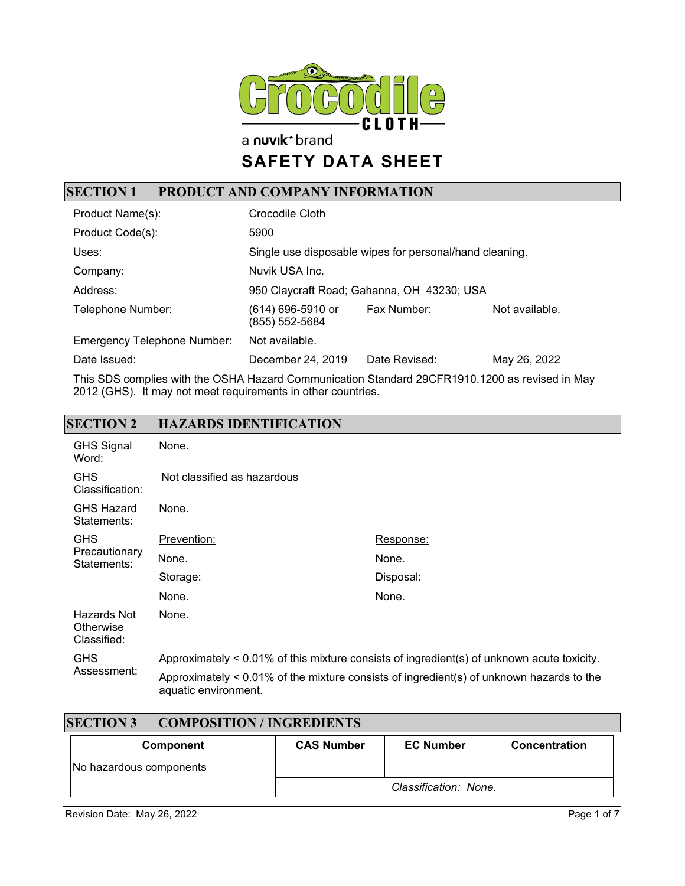

a nuvik<sup>+</sup> brand

# **SAFETY DATA SHEET**

## **SECTION 1 PRODUCT AND COMPANY INFORMATION**

| Product Name(s):                   | Crocodile Cloth                     |                                                         |                |
|------------------------------------|-------------------------------------|---------------------------------------------------------|----------------|
| Product Code(s):                   | 5900                                |                                                         |                |
| Uses:                              |                                     | Single use disposable wipes for personal/hand cleaning. |                |
| Company:                           | Nuvik USA Inc.                      |                                                         |                |
| Address:                           |                                     | 950 Claycraft Road; Gahanna, OH 43230; USA              |                |
| Telephone Number:                  | (614) 696-5910 or<br>(855) 552-5684 | Fax Number:                                             | Not available. |
| <b>Emergency Telephone Number:</b> | Not available.                      |                                                         |                |
| Date Issued:                       | December 24, 2019                   | Date Revised:                                           | May 26, 2022   |

This SDS complies with the OSHA Hazard Communication Standard 29CFR1910.1200 as revised in May 2012 (GHS). It may not meet requirements in other countries.

#### **SECTION 2 HAZARDS IDENTIFICATION**

| <b>GHS Signal</b><br>Word:                 | None.                                                                                      |                                                                                             |
|--------------------------------------------|--------------------------------------------------------------------------------------------|---------------------------------------------------------------------------------------------|
| <b>GHS</b><br>Classification:              | Not classified as hazardous                                                                |                                                                                             |
| <b>GHS Hazard</b><br>Statements:           | None.                                                                                      |                                                                                             |
| <b>GHS</b><br>Precautionary<br>Statements: | Prevention:                                                                                | Response:                                                                                   |
|                                            | None.                                                                                      | None.                                                                                       |
|                                            | Storage:                                                                                   | Disposal:                                                                                   |
|                                            | None.                                                                                      | None.                                                                                       |
| Hazards Not<br>Otherwise<br>Classified:    | None.                                                                                      |                                                                                             |
| <b>GHS</b><br>Assessment:                  | Approximately < 0.01% of this mixture consists of ingredient(s) of unknown acute toxicity. |                                                                                             |
|                                            | aquatic environment.                                                                       | Approximately $< 0.01\%$ of the mixture consists of ingredient(s) of unknown hazards to the |

| <b>SECTION 3</b><br><b>COMPOSITION / INGREDIENTS</b> |                   |                       |               |
|------------------------------------------------------|-------------------|-----------------------|---------------|
| Component                                            | <b>CAS Number</b> | <b>EC Number</b>      | Concentration |
| No hazardous components                              |                   |                       |               |
|                                                      |                   | Classification: None. |               |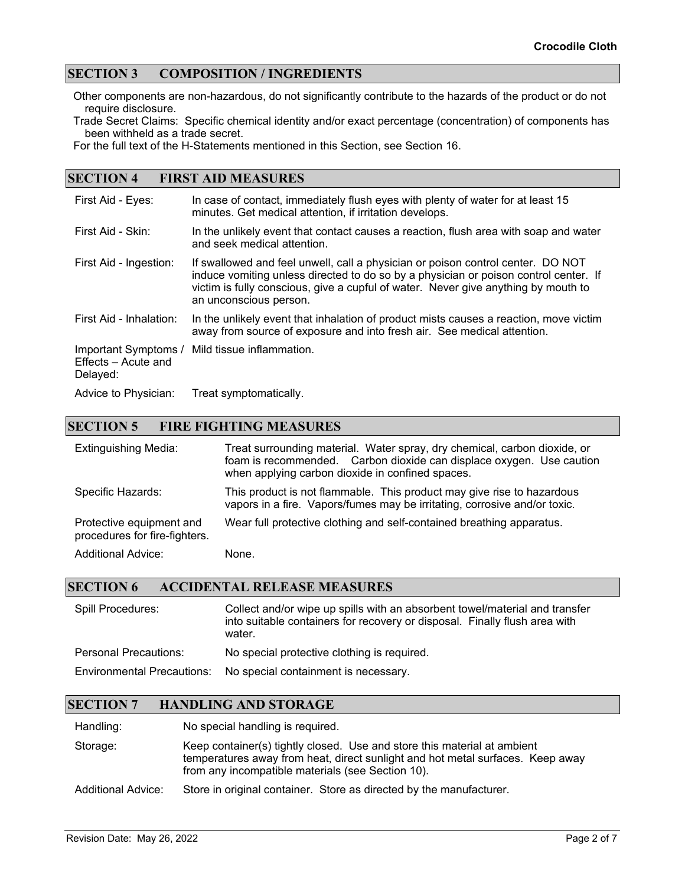#### **SECTION 3 COMPOSITION / INGREDIENTS**

Other components are non-hazardous, do not significantly contribute to the hazards of the product or do not require disclosure.

Trade Secret Claims: Specific chemical identity and/or exact percentage (concentration) of components has been withheld as a trade secret.

For the full text of the H-Statements mentioned in this Section, see Section 16.

#### **SECTION 4 FIRST AID MEASURES**

| First Aid - Eyes:                                       | In case of contact, immediately flush eyes with plenty of water for at least 15<br>minutes. Get medical attention, if irritation develops.                                                                                                                                              |
|---------------------------------------------------------|-----------------------------------------------------------------------------------------------------------------------------------------------------------------------------------------------------------------------------------------------------------------------------------------|
| First Aid - Skin:                                       | In the unlikely event that contact causes a reaction, flush area with soap and water<br>and seek medical attention.                                                                                                                                                                     |
| First Aid - Ingestion:                                  | If swallowed and feel unwell, call a physician or poison control center. DO NOT<br>induce vomiting unless directed to do so by a physician or poison control center. If<br>victim is fully conscious, give a cupful of water. Never give anything by mouth to<br>an unconscious person. |
| First Aid - Inhalation:                                 | In the unlikely event that inhalation of product mists causes a reaction, move victim<br>away from source of exposure and into fresh air. See medical attention.                                                                                                                        |
| Important Symptoms /<br>Effects - Acute and<br>Delayed: | Mild tissue inflammation.                                                                                                                                                                                                                                                               |
| Advice to Physician:                                    | Treat symptomatically.                                                                                                                                                                                                                                                                  |

#### **SECTION 5 FIRE FIGHTING MEASURES**

| <b>Extinguishing Media:</b>                               | Treat surrounding material. Water spray, dry chemical, carbon dioxide, or<br>foam is recommended. Carbon dioxide can displace oxygen. Use caution<br>when applying carbon dioxide in confined spaces. |
|-----------------------------------------------------------|-------------------------------------------------------------------------------------------------------------------------------------------------------------------------------------------------------|
| Specific Hazards:                                         | This product is not flammable. This product may give rise to hazardous<br>vapors in a fire. Vapors/fumes may be irritating, corrosive and/or toxic.                                                   |
| Protective equipment and<br>procedures for fire-fighters. | Wear full protective clothing and self-contained breathing apparatus.                                                                                                                                 |
| <b>Additional Advice:</b>                                 | None.                                                                                                                                                                                                 |

#### **SECTION 6 ACCIDENTAL RELEASE MEASURES**

| Spill Procedures:            | Collect and/or wipe up spills with an absorbent towel/material and transfer<br>into suitable containers for recovery or disposal. Finally flush area with<br>water. |
|------------------------------|---------------------------------------------------------------------------------------------------------------------------------------------------------------------|
| <b>Personal Precautions:</b> | No special protective clothing is required.                                                                                                                         |
|                              | Environmental Precautions: No special containment is necessary.                                                                                                     |

#### **SECTION 7 HANDLING AND STORAGE**

Handling: No special handling is required.

Storage: Keep container(s) tightly closed. Use and store this material at ambient temperatures away from heat, direct sunlight and hot metal surfaces. Keep away from any incompatible materials (see Section 10).

Additional Advice: Store in original container. Store as directed by the manufacturer.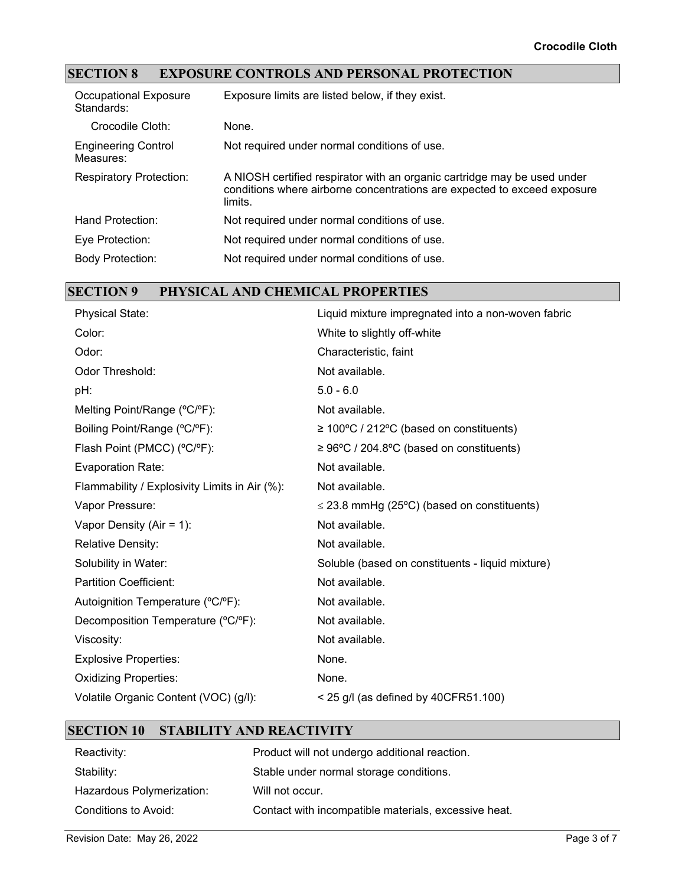## **SECTION 8 EXPOSURE CONTROLS AND PERSONAL PROTECTION**

| <b>Occupational Exposure</b><br>Standards: | Exposure limits are listed below, if they exist.                                                                                                                |
|--------------------------------------------|-----------------------------------------------------------------------------------------------------------------------------------------------------------------|
| Crocodile Cloth:                           | None.                                                                                                                                                           |
| <b>Engineering Control</b><br>Measures:    | Not required under normal conditions of use.                                                                                                                    |
| <b>Respiratory Protection:</b>             | A NIOSH certified respirator with an organic cartridge may be used under<br>conditions where airborne concentrations are expected to exceed exposure<br>limits. |
| Hand Protection:                           | Not required under normal conditions of use.                                                                                                                    |
| Eye Protection:                            | Not required under normal conditions of use.                                                                                                                    |
| <b>Body Protection:</b>                    | Not required under normal conditions of use.                                                                                                                    |

## **SECTION 9 PHYSICAL AND CHEMICAL PROPERTIES**

| <b>Physical State:</b>                        | Liquid mixture impregnated into a non-woven fabric    |
|-----------------------------------------------|-------------------------------------------------------|
| Color:                                        | White to slightly off-white                           |
| Odor:                                         | Characteristic, faint                                 |
| Odor Threshold:                               | Not available.                                        |
| pH:                                           | $5.0 - 6.0$                                           |
| Melting Point/Range (°C/°F):                  | Not available.                                        |
| Boiling Point/Range (°C/°F):                  | $\geq 100^{\circ}$ C / 212°C (based on constituents)  |
| Flash Point (PMCC) (°C/°F):                   | $\geq 96^{\circ}$ C / 204.8°C (based on constituents) |
| <b>Evaporation Rate:</b>                      | Not available.                                        |
| Flammability / Explosivity Limits in Air (%): | Not available.                                        |
| Vapor Pressure:                               | $\leq$ 23.8 mmHg (25°C) (based on constituents)       |
| Vapor Density (Air = $1$ ):                   | Not available.                                        |
| <b>Relative Density:</b>                      | Not available.                                        |
| Solubility in Water:                          | Soluble (based on constituents - liquid mixture)      |
| <b>Partition Coefficient:</b>                 | Not available.                                        |
| Autoignition Temperature (°C/°F):             | Not available.                                        |
| Decomposition Temperature (°C/°F):            | Not available.                                        |
| Viscosity:                                    | Not available.                                        |
| <b>Explosive Properties:</b>                  | None.                                                 |
| <b>Oxidizing Properties:</b>                  | None.                                                 |
| Volatile Organic Content (VOC) (g/l):         | $<$ 25 g/l (as defined by 40CFR51.100)                |
|                                               |                                                       |

#### **SECTION 10 STABILITY AND REACTIVITY**

| Reactivity:               | Product will not undergo additional reaction.        |
|---------------------------|------------------------------------------------------|
| Stability:                | Stable under normal storage conditions.              |
| Hazardous Polymerization: | Will not occur.                                      |
| Conditions to Avoid:      | Contact with incompatible materials, excessive heat. |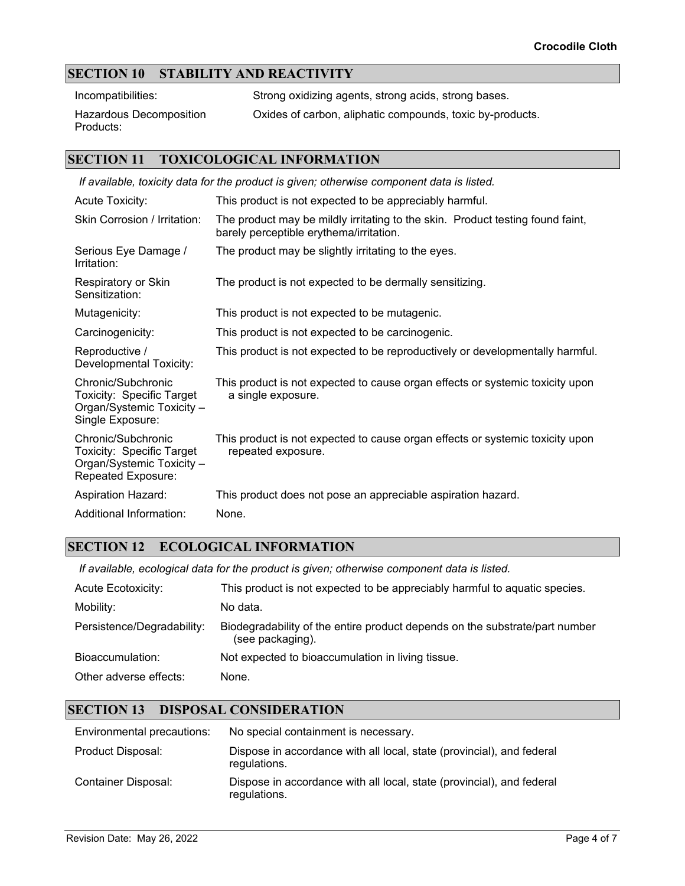### **SECTION 10 STABILITY AND REACTIVITY**

Incompatibilities: Strong oxidizing agents, strong acids, strong bases.

Hazardous Decomposition Products:

Oxides of carbon, aliphatic compounds, toxic by-products.

#### **SECTION 11 TOXICOLOGICAL INFORMATION**

| If available, toxicity data for the product is given; otherwise component data is listed.                 |                                                                                                                           |  |
|-----------------------------------------------------------------------------------------------------------|---------------------------------------------------------------------------------------------------------------------------|--|
| <b>Acute Toxicity:</b>                                                                                    | This product is not expected to be appreciably harmful.                                                                   |  |
| Skin Corrosion / Irritation:                                                                              | The product may be mildly irritating to the skin. Product testing found faint,<br>barely perceptible erythema/irritation. |  |
| Serious Eye Damage /<br>Irritation:                                                                       | The product may be slightly irritating to the eyes.                                                                       |  |
| Respiratory or Skin<br>Sensitization:                                                                     | The product is not expected to be dermally sensitizing.                                                                   |  |
| Mutagenicity:                                                                                             | This product is not expected to be mutagenic.                                                                             |  |
| Carcinogenicity:                                                                                          | This product is not expected to be carcinogenic.                                                                          |  |
| Reproductive /<br>Developmental Toxicity:                                                                 | This product is not expected to be reproductively or developmentally harmful.                                             |  |
| Chronic/Subchronic<br><b>Toxicity: Specific Target</b><br>Organ/Systemic Toxicity -<br>Single Exposure:   | This product is not expected to cause organ effects or systemic toxicity upon<br>a single exposure.                       |  |
| Chronic/Subchronic<br><b>Toxicity: Specific Target</b><br>Organ/Systemic Toxicity -<br>Repeated Exposure: | This product is not expected to cause organ effects or systemic toxicity upon<br>repeated exposure.                       |  |
| <b>Aspiration Hazard:</b>                                                                                 | This product does not pose an appreciable aspiration hazard.                                                              |  |
| Additional Information:                                                                                   | None.                                                                                                                     |  |

#### **SECTION 12 ECOLOGICAL INFORMATION**

*If available, ecological data for the product is given; otherwise component data is listed.*

| <b>Acute Ecotoxicity:</b>  | This product is not expected to be appreciably harmful to aquatic species.                      |
|----------------------------|-------------------------------------------------------------------------------------------------|
| Mobility:                  | No data.                                                                                        |
| Persistence/Degradability: | Biodegradability of the entire product depends on the substrate/part number<br>(see packaging). |
| Bioaccumulation:           | Not expected to bioaccumulation in living tissue.                                               |
| Other adverse effects:     | None.                                                                                           |

#### **SECTION 13 DISPOSAL CONSIDERATION**

| Environmental precautions: | No special containment is necessary.                                                  |
|----------------------------|---------------------------------------------------------------------------------------|
| Product Disposal:          | Dispose in accordance with all local, state (provincial), and federal<br>regulations. |
| Container Disposal:        | Dispose in accordance with all local, state (provincial), and federal<br>regulations. |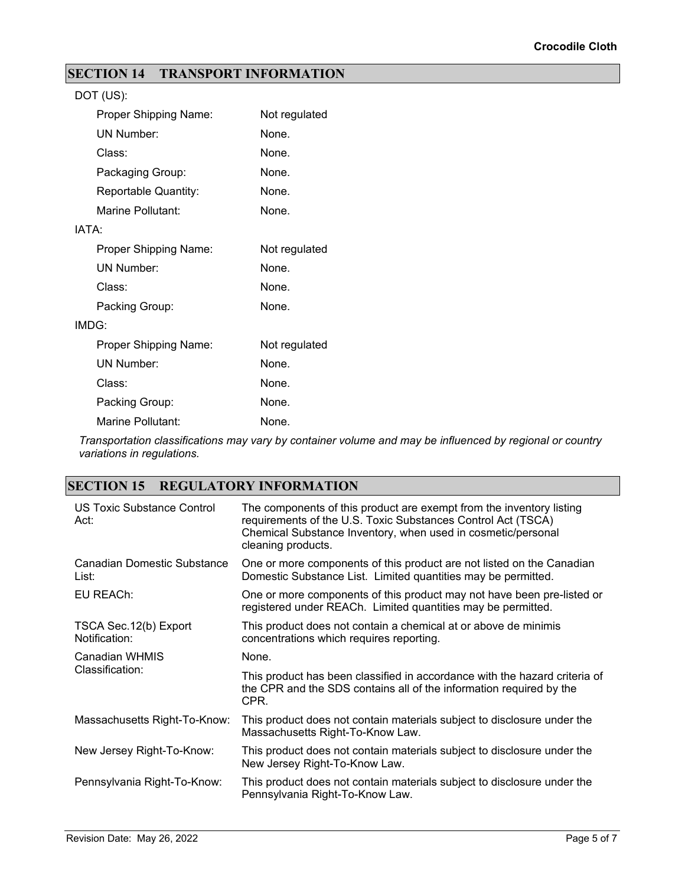## **SECTION 14 TRANSPORT INFORMATION**

| DOT (US):             |               |
|-----------------------|---------------|
| Proper Shipping Name: | Not regulated |
| <b>UN Number:</b>     | None.         |
| Class:                | None.         |
| Packaging Group:      | None.         |
| Reportable Quantity:  | None.         |
| Marine Pollutant:     | None.         |
| IATA:                 |               |
| Proper Shipping Name: | Not regulated |
| <b>UN Number:</b>     | None.         |
| Class:                | None.         |
| Packing Group:        | None.         |
| IMDG:                 |               |
| Proper Shipping Name: | Not regulated |
| <b>UN Number:</b>     | None.         |
| Class:                | None.         |
| Packing Group:        | None.         |
| Marine Pollutant:     | None.         |

*Transportation classifications may vary by container volume and may be influenced by regional or country variations in regulations.*

### **SECTION 15 REGULATORY INFORMATION**

| US Toxic Substance Control<br>Act:      | The components of this product are exempt from the inventory listing<br>requirements of the U.S. Toxic Substances Control Act (TSCA)<br>Chemical Substance Inventory, when used in cosmetic/personal<br>cleaning products. |
|-----------------------------------------|----------------------------------------------------------------------------------------------------------------------------------------------------------------------------------------------------------------------------|
| Canadian Domestic Substance<br>List:    | One or more components of this product are not listed on the Canadian<br>Domestic Substance List. Limited quantities may be permitted.                                                                                     |
| EU REACh:                               | One or more components of this product may not have been pre-listed or<br>registered under REACh. Limited quantities may be permitted.                                                                                     |
| TSCA Sec. 12(b) Export<br>Notification: | This product does not contain a chemical at or above de minimis<br>concentrations which requires reporting.                                                                                                                |
| Canadian WHMIS<br>Classification:       | None.                                                                                                                                                                                                                      |
|                                         | This product has been classified in accordance with the hazard criteria of<br>the CPR and the SDS contains all of the information required by the<br>CPR.                                                                  |
| Massachusetts Right-To-Know:            | This product does not contain materials subject to disclosure under the<br>Massachusetts Right-To-Know Law.                                                                                                                |
| New Jersey Right-To-Know:               | This product does not contain materials subject to disclosure under the<br>New Jersey Right-To-Know Law.                                                                                                                   |
| Pennsylvania Right-To-Know:             | This product does not contain materials subject to disclosure under the<br>Pennsylvania Right-To-Know Law.                                                                                                                 |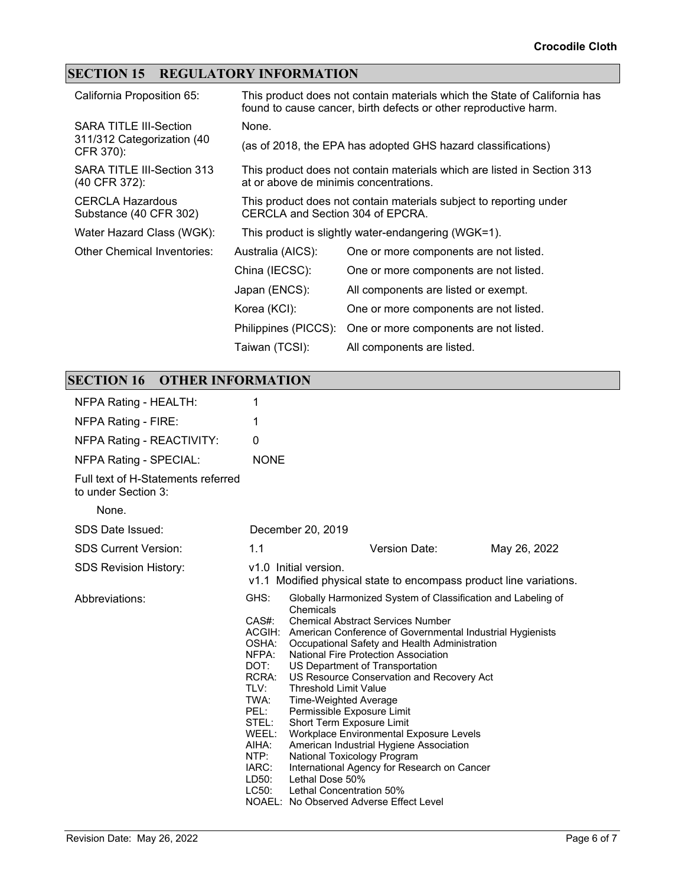## **SECTION 15 REGULATORY INFORMATION**

| California Proposition 65:                                               |                                                                                                        | This product does not contain materials which the State of California has<br>found to cause cancer, birth defects or other reproductive harm. |  |
|--------------------------------------------------------------------------|--------------------------------------------------------------------------------------------------------|-----------------------------------------------------------------------------------------------------------------------------------------------|--|
| <b>SARA TITLE III-Section</b><br>311/312 Categorization (40<br>CFR 370): | None.                                                                                                  |                                                                                                                                               |  |
|                                                                          | (as of 2018, the EPA has adopted GHS hazard classifications)                                           |                                                                                                                                               |  |
| SARA TITLE III-Section 313<br>(40 CFR 372):                              | at or above de minimis concentrations.                                                                 | This product does not contain materials which are listed in Section 313                                                                       |  |
| <b>CERCLA Hazardous</b><br>Substance (40 CFR 302)                        | This product does not contain materials subject to reporting under<br>CERCLA and Section 304 of EPCRA. |                                                                                                                                               |  |
| Water Hazard Class (WGK):                                                |                                                                                                        | This product is slightly water-endangering (WGK=1).                                                                                           |  |
| Other Chemical Inventories:                                              | Australia (AICS):                                                                                      | One or more components are not listed.                                                                                                        |  |
|                                                                          | China (IECSC):                                                                                         | One or more components are not listed.                                                                                                        |  |
|                                                                          | Japan (ENCS):                                                                                          | All components are listed or exempt.                                                                                                          |  |
|                                                                          | Korea (KCI):                                                                                           | One or more components are not listed.                                                                                                        |  |
|                                                                          | Philippines (PICCS):                                                                                   | One or more components are not listed.                                                                                                        |  |
|                                                                          | Taiwan (TCSI):                                                                                         | All components are listed.                                                                                                                    |  |

# **SECTION 16 OTHER INFORMATION**

| NFPA Rating - HEALTH:                                     | 1                                                                                                                                         |                                                                                                                                                                                                                                                                                                                                                                                                                                                                                                                                                                                                                                                                                                                                                      |              |
|-----------------------------------------------------------|-------------------------------------------------------------------------------------------------------------------------------------------|------------------------------------------------------------------------------------------------------------------------------------------------------------------------------------------------------------------------------------------------------------------------------------------------------------------------------------------------------------------------------------------------------------------------------------------------------------------------------------------------------------------------------------------------------------------------------------------------------------------------------------------------------------------------------------------------------------------------------------------------------|--------------|
| NFPA Rating - FIRE:                                       | 1                                                                                                                                         |                                                                                                                                                                                                                                                                                                                                                                                                                                                                                                                                                                                                                                                                                                                                                      |              |
| NFPA Rating - REACTIVITY:                                 | 0                                                                                                                                         |                                                                                                                                                                                                                                                                                                                                                                                                                                                                                                                                                                                                                                                                                                                                                      |              |
| NFPA Rating - SPECIAL:                                    | <b>NONE</b>                                                                                                                               |                                                                                                                                                                                                                                                                                                                                                                                                                                                                                                                                                                                                                                                                                                                                                      |              |
| Full text of H-Statements referred<br>to under Section 3: |                                                                                                                                           |                                                                                                                                                                                                                                                                                                                                                                                                                                                                                                                                                                                                                                                                                                                                                      |              |
| None.                                                     |                                                                                                                                           |                                                                                                                                                                                                                                                                                                                                                                                                                                                                                                                                                                                                                                                                                                                                                      |              |
| SDS Date Issued:                                          |                                                                                                                                           | December 20, 2019                                                                                                                                                                                                                                                                                                                                                                                                                                                                                                                                                                                                                                                                                                                                    |              |
| <b>SDS Current Version:</b>                               | 1.1                                                                                                                                       | Version Date:                                                                                                                                                                                                                                                                                                                                                                                                                                                                                                                                                                                                                                                                                                                                        | May 26, 2022 |
| <b>SDS Revision History:</b>                              |                                                                                                                                           | v1.0 Initial version.<br>v1.1 Modified physical state to encompass product line variations.                                                                                                                                                                                                                                                                                                                                                                                                                                                                                                                                                                                                                                                          |              |
| Abbreviations:                                            | GHS:<br>$CAS#$ :<br>OSHA:<br>NFPA:<br>DOT:<br>RCRA:<br>TLV:<br>TWA:<br>PEL:<br>STEL:<br>WEEL:<br>AIHA:<br>NTP:<br>IARC:<br>LD50:<br>LC50: | Globally Harmonized System of Classification and Labeling of<br>Chemicals<br><b>Chemical Abstract Services Number</b><br>ACGIH: American Conference of Governmental Industrial Hygienists<br>Occupational Safety and Health Administration<br>National Fire Protection Association<br>US Department of Transportation<br>US Resource Conservation and Recovery Act<br><b>Threshold Limit Value</b><br>Time-Weighted Average<br>Permissible Exposure Limit<br>Short Term Exposure Limit<br>Workplace Environmental Exposure Levels<br>American Industrial Hygiene Association<br>National Toxicology Program<br>International Agency for Research on Cancer<br>Lethal Dose 50%<br>Lethal Concentration 50%<br>NOAEL: No Observed Adverse Effect Level |              |